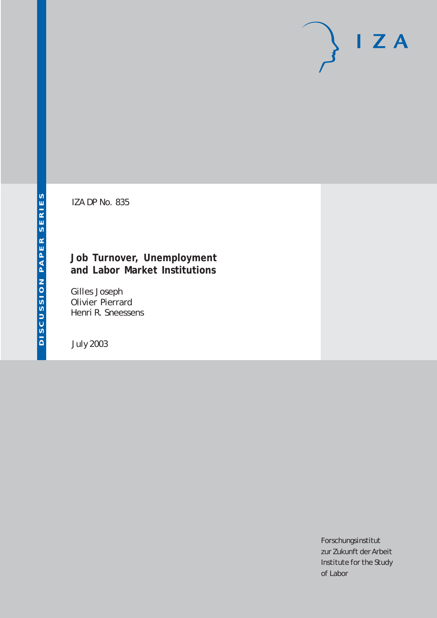# $I Z A$

IZA DP No. 835

# **Job Turnover, Unemployment and Labor Market Institutions**

Gilles Joseph Olivier Pierrard Henri R. Sneessens

July 2003

Forschungsinstitut zur Zukunft der Arbeit Institute for the Study of Labor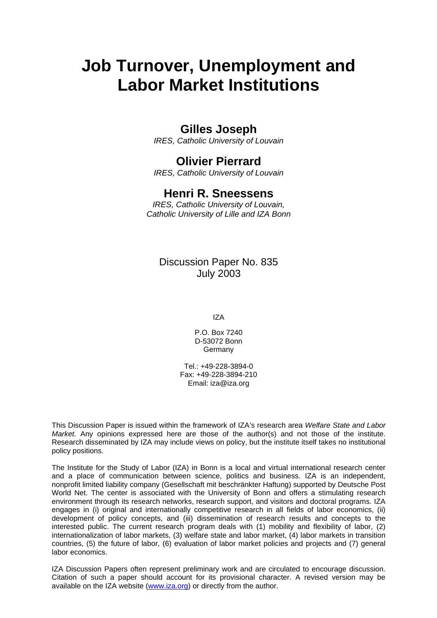# **Job Turnover, Unemployment and Labor Market Institutions**

# **Gilles Joseph**

*IRES, Catholic University of Louvain* 

# **Olivier Pierrard**

*IRES, Catholic University of Louvain* 

# **Henri R. Sneessens**

*IRES, Catholic University of Louvain, Catholic University of Lille and IZA Bonn* 

Discussion Paper No. 835 July 2003

IZA

P.O. Box 7240 D-53072 Bonn Germany

Tel.: +49-228-3894-0 Fax: +49-228-3894-210 Email: [iza@iza.org](mailto:iza@iza.org)

This Discussion Paper is issued within the framework of IZA's research area *Welfare State and Labor Market.* Any opinions expressed here are those of the author(s) and not those of the institute. Research disseminated by IZA may include views on policy, but the institute itself takes no institutional policy positions.

The Institute for the Study of Labor (IZA) in Bonn is a local and virtual international research center and a place of communication between science, politics and business. IZA is an independent, nonprofit limited liability company (Gesellschaft mit beschränkter Haftung) supported by Deutsche Post World Net. The center is associated with the University of Bonn and offers a stimulating research environment through its research networks, research support, and visitors and doctoral programs. IZA engages in (i) original and internationally competitive research in all fields of labor economics, (ii) development of policy concepts, and (iii) dissemination of research results and concepts to the interested public. The current research program deals with (1) mobility and flexibility of labor, (2) internationalization of labor markets, (3) welfare state and labor market, (4) labor markets in transition countries, (5) the future of labor, (6) evaluation of labor market policies and projects and (7) general labor economics.

IZA Discussion Papers often represent preliminary work and are circulated to encourage discussion. Citation of such a paper should account for its provisional character. A revised version may be available on the IZA website ([www.iza.org](http://www.iza.org/)) or directly from the author.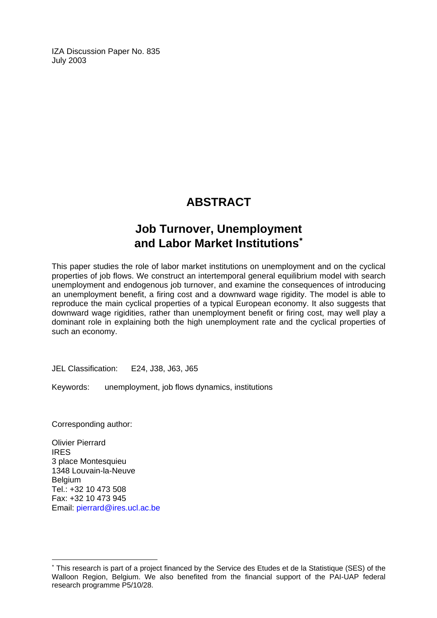IZA Discussion Paper No. 835 July 2003

# **ABSTRACT**

# **Job Turnover, Unemployment and Labor Market Institutions**[∗](#page-2-0)

This paper studies the role of labor market institutions on unemployment and on the cyclical properties of job flows. We construct an intertemporal general equilibrium model with search unemployment and endogenous job turnover, and examine the consequences of introducing an unemployment benefit, a firing cost and a downward wage rigidity. The model is able to reproduce the main cyclical properties of a typical European economy. It also suggests that downward wage rigidities, rather than unemployment benefit or firing cost, may well play a dominant role in explaining both the high unemployment rate and the cyclical properties of such an economy.

JEL Classification: E24, J38, J63, J65

Keywords: unemployment, job flows dynamics, institutions

Corresponding author:

 $\overline{a}$ 

Olivier Pierrard IRES 3 place Montesquieu 1348 Louvain-la-Neuve **Belgium** Tel.: +32 10 473 508 Fax: +32 10 473 945 Email: [pierrard@ires.ucl.ac.be](mailto:pierrard@ires.ucl.ac.be)

<span id="page-2-0"></span><sup>∗</sup> This research is part of a project financed by the Service des Etudes et de la Statistique (SES) of the Walloon Region, Belgium. We also benefited from the financial support of the PAI-UAP federal research programme P5/10/28.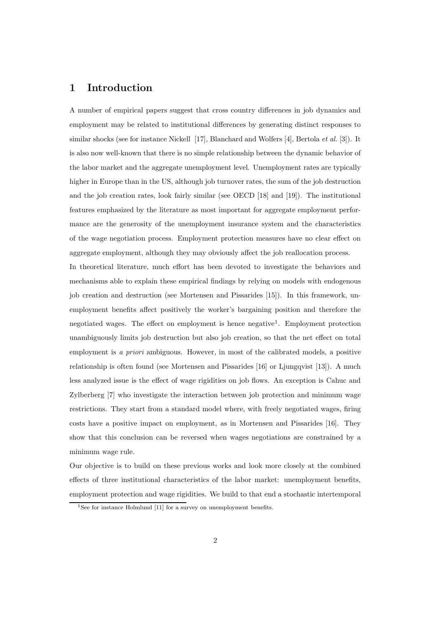## 1 Introduction

A number of empirical papers suggest that cross country differences in job dynamics and employment may be related to institutional differences by generating distinct responses to similar shocks (see for instance Nickell [17], Blanchard and Wolfers [4], Bertola *et al.* [3]). It is also now well-known that there is no simple relationship between the dynamic behavior of the labor market and the aggregate unemployment level. Unemployment rates are typically higher in Europe than in the US, although job turnover rates, the sum of the job destruction and the job creation rates, look fairly similar (see OECD [18] and [19]). The institutional features emphasized by the literature as most important for aggregate employment performance are the generosity of the unemployment insurance system and the characteristics of the wage negotiation process. Employment protection measures have no clear effect on aggregate employment, although they may obviously affect the job reallocation process.

In theoretical literature, much effort has been devoted to investigate the behaviors and mechanisms able to explain these empirical findings by relying on models with endogenous job creation and destruction (see Mortensen and Pissarides [15]). In this framework, unemployment benefits affect positively the worker's bargaining position and therefore the negotiated wages. The effect on employment is hence negative 1 . Employment protection unambiguously limits job destruction but also job creation, so that the net effect on total employment is a priori ambiguous. However, in most of the calibrated models, a positive relationship is often found (see Mortensen and Pissarides [16] or Ljungqvist [13]). A much less analyzed issue is the effect of wage rigidities on job flows. An exception is Cahuc and Zylberberg [7] who investigate the interaction between job protection and minimum wage restrictions. They start from a standard model where, with freely negotiated wages, firing costs have a positive impact on employment, as in Mortensen and Pissarides [16]. They show that this conclusion can be reversed when wages negotiations are constrained by a minimum wage rule.

Our objective is to build on these previous works and look more closely at the combined effects of three institutional characteristics of the labor market: unemployment benefits, employment protection and wage rigidities. We build to that end a stochastic intertemporal

<sup>&</sup>lt;sup>1</sup>See for instance Holmlund  $[11]$  for a survey on unemployment benefits.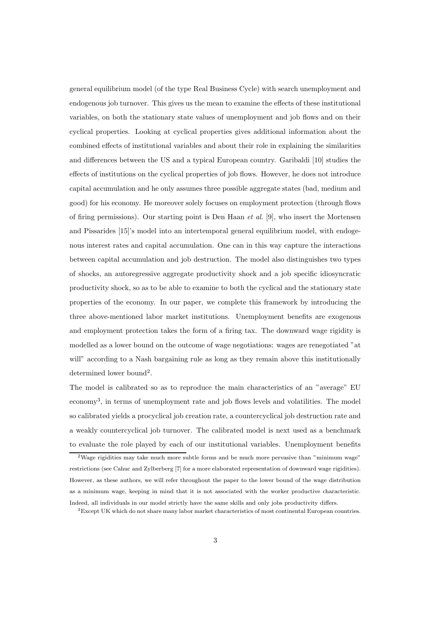general equilibrium model (of the type Real Business Cycle) with search unemployment and endogenous job turnover. This gives us the mean to examine the effects of these institutional variables, on both the stationary state values of unemployment and job flows and on their cyclical properties. Looking at cyclical properties gives additional information about the combined effects of institutional variables and about their role in explaining the similarities and differences between the US and a typical European country. Garibaldi [10] studies the effects of institutions on the cyclical properties of job flows. However, he does not introduce capital accumulation and he only assumes three possible aggregate states (bad, medium and good) for his economy. He moreover solely focuses on employment protection (through flows of firing permissions). Our starting point is Den Haan *et al.* [9], who insert the Mortensen and Pissarides [15]'s model into an intertemporal general equilibrium model, with endogenous interest rates and capital accumulation. One can in this way capture the interactions between capital accumulation and job destruction. The model also distinguishes two types of shocks, an autoregressive aggregate productivity shock and a job specific idiosyncratic productivity shock, so as to be able to examine to both the cyclical and the stationary state properties of the economy. In our paper, we complete this framework by introducing the three above-mentioned labor market institutions. Unemployment benefits are exogenous and employment protection takes the form of a firing tax. The downward wage rigidity is modelled as a lower bound on the outcome of wage negotiations: wages are renegotiated "at will" according to a Nash bargaining rule as long as they remain above this institutionally determined lower bound<sup>2</sup>.

The model is calibrated so as to reproduce the main characteristics of an "average" EU economy 3 , in terms of unemployment rate and job flows levels and volatilities. The model so calibrated yields a procyclical job creation rate, a countercyclical job destruction rate and a weakly countercyclical job turnover. The calibrated model is next used as a benchmark to evaluate the role played by each of our institutional variables. Unemployment benefits

<sup>&</sup>lt;sup>2</sup>Wage rigidities may take much more subtle forms and be much more pervasive than "minimum wage" restrictions (see Cahuc and Zylberberg [7] for a more elaborated representation of downward wage rigidities). However, as these authors, we will refer throughout the paper to the lower bound of the wage distribution as a minimum wage, keeping in mind that it is not associated with the worker productive characteristic. Indeed, all individuals in our model strictly have the same skills and only jobs productivity differs.

<sup>3</sup>Except UK which do not share many labor market characteristics of most continental European countries.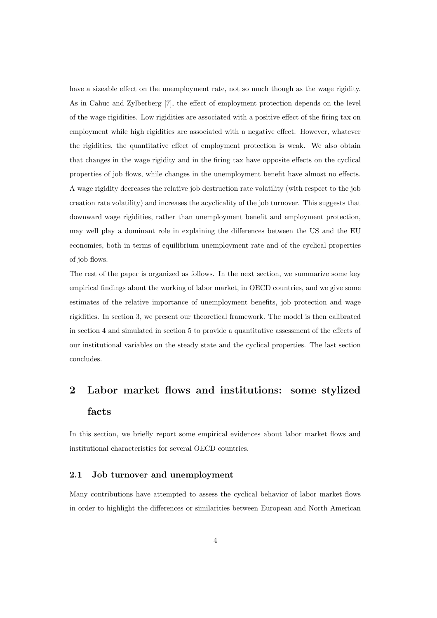have a sizeable effect on the unemployment rate, not so much though as the wage rigidity. As in Cahuc and Zylberberg [7], the effect of employment protection depends on the level of the wage rigidities. Low rigidities are associated with a positive effect of the firing tax on employment while high rigidities are associated with a negative effect. However, whatever the rigidities, the quantitative effect of employment protection is weak. We also obtain that changes in the wage rigidity and in the firing tax have opposite effects on the cyclical properties of job flows, while changes in the unemployment benefit have almost no effects. A wage rigidity decreases the relative job destruction rate volatility (with respect to the job creation rate volatility) and increases the acyclicality of the job turnover. This suggests that downward wage rigidities, rather than unemployment benefit and employment protection, may well play a dominant role in explaining the differences between the US and the EU economies, both in terms of equilibrium unemployment rate and of the cyclical properties of job flows.

The rest of the paper is organized as follows. In the next section, we summarize some key empirical findings about the working of labor market, in OECD countries, and we give some estimates of the relative importance of unemployment benefits, job protection and wage rigidities. In section 3, we present our theoretical framework. The model is then calibrated in section 4 and simulated in section 5 to provide a quantitative assessment of the effects of our institutional variables on the steady state and the cyclical properties. The last section concludes.

# 2 Labor market flows and institutions: some stylized facts

In this section, we briefly report some empirical evidences about labor market flows and institutional characteristics for several OECD countries.

#### 2.1 Job turnover and unemployment

Many contributions have attempted to assess the cyclical behavior of labor market flows in order to highlight the differences or similarities between European and North American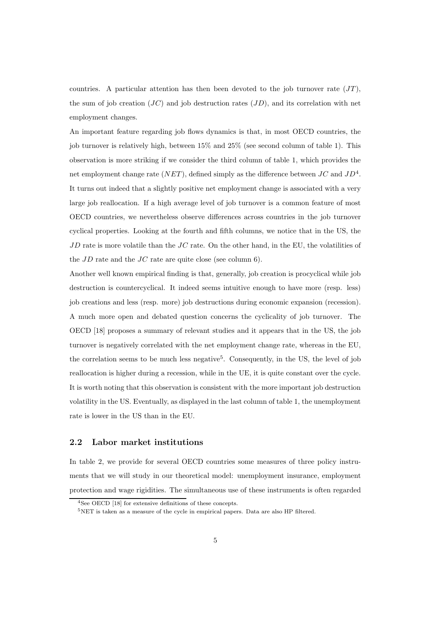countries. A particular attention has then been devoted to the job turnover rate  $(JT)$ , the sum of job creation  $(JC)$  and job destruction rates  $(JD)$ , and its correlation with net employment changes.

An important feature regarding job flows dynamics is that, in most OECD countries, the job turnover is relatively high, between 15% and 25% (see second column of table 1). This observation is more striking if we consider the third column of table 1, which provides the net employment change rate  $(NET)$ , defined simply as the difference between  $JC$  and  $JD^4$ . It turns out indeed that a slightly positive net employment change is associated with a very large job reallocation. If a high average level of job turnover is a common feature of most OECD countries, we nevertheless observe differences across countries in the job turnover cyclical properties. Looking at the fourth and fifth columns, we notice that in the US, the  $JD$  rate is more volatile than the  $JC$  rate. On the other hand, in the EU, the volatilities of the  $JD$  rate and the  $JC$  rate are quite close (see column 6).

Another well known empirical finding is that, generally, job creation is procyclical while job destruction is countercyclical. It indeed seems intuitive enough to have more (resp. less) job creations and less (resp. more) job destructions during economic expansion (recession). A much more open and debated question concerns the cyclicality of job turnover. The OECD [18] proposes a summary of relevant studies and it appears that in the US, the job turnover is negatively correlated with the net employment change rate, whereas in the EU, the correlation seems to be much less negative 5 . Consequently, in the US, the level of job reallocation is higher during a recession, while in the UE, it is quite constant over the cycle. It is worth noting that this observation is consistent with the more important job destruction volatility in the US. Eventually, as displayed in the last column of table 1, the unemployment rate is lower in the US than in the EU.

#### 2.2 Labor market institutions

In table 2, we provide for several OECD countries some measures of three policy instruments that we will study in our theoretical model: unemployment insurance, employment protection and wage rigidities. The simultaneous use of these instruments is often regarded

<sup>4</sup>See OECD [18] for extensive definitions of these concepts.

<sup>5</sup>NET is taken as a measure of the cycle in empirical papers. Data are also HP filtered.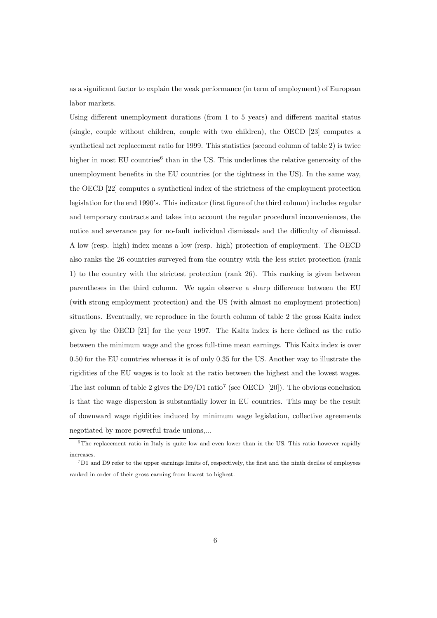as a significant factor to explain the weak performance (in term of employment) of European labor markets.

Using different unemployment durations (from 1 to 5 years) and different marital status (single, couple without children, couple with two children), the OECD [23] computes a synthetical net replacement ratio for 1999. This statistics (second column of table 2) is twice higher in most EU countries<sup>6</sup> than in the US. This underlines the relative generosity of the unemployment benefits in the EU countries (or the tightness in the US). In the same way, the OECD [22] computes a synthetical index of the strictness of the employment protection legislation for the end 1990's. This indicator (first figure of the third column) includes regular and temporary contracts and takes into account the regular procedural inconveniences, the notice and severance pay for no-fault individual dismissals and the difficulty of dismissal. A low (resp. high) index means a low (resp. high) protection of employment. The OECD also ranks the 26 countries surveyed from the country with the less strict protection (rank 1) to the country with the strictest protection (rank 26). This ranking is given between parentheses in the third column. We again observe a sharp difference between the EU (with strong employment protection) and the US (with almost no employment protection) situations. Eventually, we reproduce in the fourth column of table 2 the gross Kaitz index given by the OECD [21] for the year 1997. The Kaitz index is here defined as the ratio between the minimum wage and the gross full-time mean earnings. This Kaitz index is over 0.50 for the EU countries whereas it is of only 0.35 for the US. Another way to illustrate the rigidities of the EU wages is to look at the ratio between the highest and the lowest wages. The last column of table 2 gives the  $D9/D1$  ratio<sup>7</sup> (see OECD [20]). The obvious conclusion is that the wage dispersion is substantially lower in EU countries. This may be the result of downward wage rigidities induced by minimum wage legislation, collective agreements negotiated by more powerful trade unions,...

<sup>6</sup>The replacement ratio in Italy is quite low and even lower than in the US. This ratio however rapidly increases.

<sup>7</sup>D1 and D9 refer to the upper earnings limits of, respectively, the first and the ninth deciles of employees ranked in order of their gross earning from lowest to highest.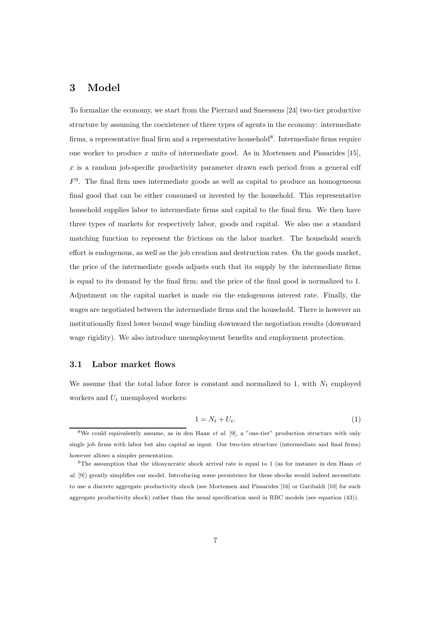## 3 Model

To formalize the economy, we start from the Pierrard and Sneessens [24] two-tier productive structure by assuming the coexistence of three types of agents in the economy: intermediate firms, a representative final firm and a representative household<sup>8</sup>. Intermediate firms require one worker to produce  $x$  units of intermediate good. As in Mortensen and Pissarides [15],  $x$  is a random job-specific productivity parameter drawn each period from a general cdf  $F<sup>9</sup>$ . The final firm uses intermediate goods as well as capital to produce an homogeneous final good that can be either consumed or invested by the household. This representative household supplies labor to intermediate firms and capital to the final firm. We then have three types of markets for respectively labor, goods and capital. We also use a standard matching function to represent the frictions on the labor market. The household search effort is endogenous, as well as the job creation and destruction rates. On the goods market, the price of the intermediate goods adjusts such that its supply by the intermediate firms is equal to its demand by the final firm; and the price of the final good is normalized to 1. Adjustment on the capital market is made via the endogenous interest rate. Finally, the wages are negotiated between the intermediate firms and the household. There is however an institutionally fixed lower bound wage binding downward the negotiation results (downward wage rigidity). We also introduce unemployment benefits and employment protection.

#### 3.1 Labor market flows

We assume that the total labor force is constant and normalized to 1, with  $N_t$  employed workers and  $U_t$  unemployed workers:

$$
1 = N_t + U_t. \tag{1}
$$

<sup>&</sup>lt;sup>8</sup>We could equivalently assume, as in den Haan *et al.* [9], a "one-tier" production structure with only single job firms with labor but also capital as input. Our two-tier structure (intermediate and final firms) however allows a simpler presentation.

<sup>9</sup>The assumption that the idiosyncratic shock arrival rate is equal to 1 (as for instance in den Haan et al. [9]) greatly simplifies our model. Introducing some persistence for these shocks would indeed necessitate to use a discrete aggregate productivity shock (see Mortensen and Pissarides [16] or Garibaldi [10] for such aggregate productivity shock) rather than the usual specification used in RBC models (see equation (43)).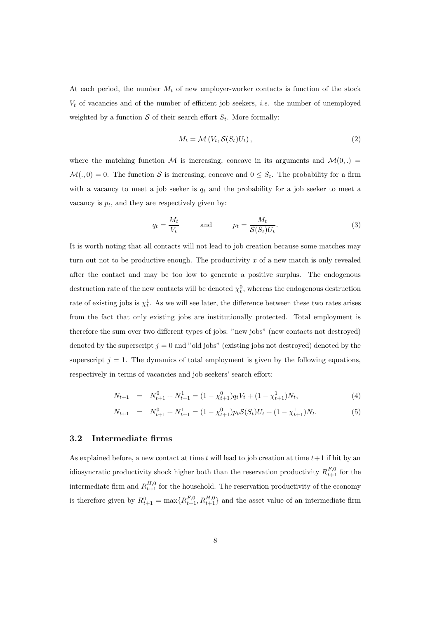At each period, the number  $M_t$  of new employer-worker contacts is function of the stock  $V_t$  of vacancies and of the number of efficient job seekers, *i.e.* the number of unemployed weighted by a function  $S$  of their search effort  $S_t$ . More formally:

$$
M_t = \mathcal{M}\left(V_t, \mathcal{S}(S_t)U_t\right),\tag{2}
$$

where the matching function M is increasing, concave in its arguments and  $\mathcal{M}(0,.)$  $\mathcal{M}(.,0) = 0$ . The function S is increasing, concave and  $0 \leq S_t$ . The probability for a firm with a vacancy to meet a job seeker is  $q_t$  and the probability for a job seeker to meet a vacancy is  $p_t$ , and they are respectively given by:

$$
q_t = \frac{M_t}{V_t} \quad \text{and} \quad p_t = \frac{M_t}{\mathcal{S}(S_t)U_t}.\tag{3}
$$

It is worth noting that all contacts will not lead to job creation because some matches may turn out not to be productive enough. The productivity  $x$  of a new match is only revealed after the contact and may be too low to generate a positive surplus. The endogenous destruction rate of the new contacts will be denoted  $\chi_t^0$ , whereas the endogenous destruction rate of existing jobs is  $\chi_t^1$ . As we will see later, the difference between these two rates arises from the fact that only existing jobs are institutionally protected. Total employment is therefore the sum over two different types of jobs: "new jobs" (new contacts not destroyed) denoted by the superscript  $j = 0$  and "old jobs" (existing jobs not destroyed) denoted by the superscript  $j = 1$ . The dynamics of total employment is given by the following equations, respectively in terms of vacancies and job seekers' search effort:

$$
N_{t+1} = N_{t+1}^0 + N_{t+1}^1 = (1 - \chi_{t+1}^0)q_tV_t + (1 - \chi_{t+1}^1)N_t,
$$
\n
$$
(4)
$$

$$
N_{t+1} = N_{t+1}^0 + N_{t+1}^1 = (1 - \chi_{t+1}^0) p_t \mathcal{S}(S_t) U_t + (1 - \chi_{t+1}^1) N_t.
$$
 (5)

#### 3.2 Intermediate firms

As explained before, a new contact at time t will lead to job creation at time  $t+1$  if hit by an idiosyncratic productivity shock higher both than the reservation productivity  $R_{t+1}^{F,0}$  for the intermediate firm and  $R_{t+1}^{H,0}$  for the household. The reservation productivity of the economy is therefore given by  $R_{t+1}^0 = \max\{R_{t+1}^{F,0}, R_{t+1}^{H,0}\}$  and the asset value of an intermediate firm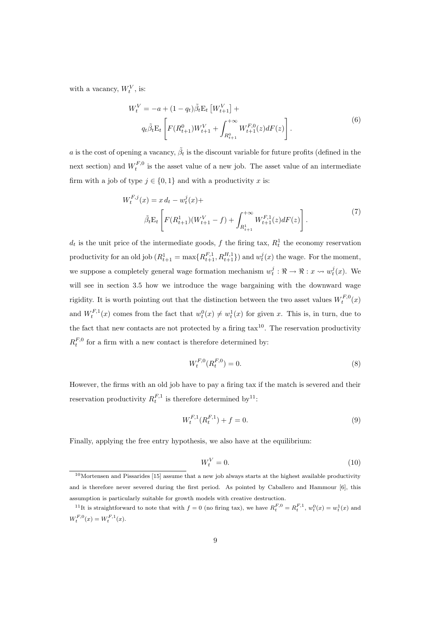with a vacancy,  $W_t^V$ , is:

$$
W_t^V = -a + (1 - q_t)\tilde{\beta}_t E_t \left[ W_{t+1}^V \right] +
$$
  
\n
$$
q_t \tilde{\beta}_t E_t \left[ F(R_{t+1}^0) W_{t+1}^V + \int_{R_{t+1}^0}^{+\infty} W_{t+1}^{F,0}(z) dF(z) \right].
$$
\n(6)

a is the cost of opening a vacancy,  $\tilde{\beta}_t$  is the discount variable for future profits (defined in the next section) and  $W_t^{F,0}$  is the asset value of a new job. The asset value of an intermediate firm with a job of type  $j \in \{0,1\}$  and with a productivity x is:

$$
W_t^{F,j}(x) = x d_t - w_t^j(x) +
$$
  

$$
\tilde{\beta}_t \mathcal{E}_t \left[ F(R_{t+1}^1)(W_{t+1}^V - f) + \int_{R_{t+1}^1}^{+\infty} W_{t+1}^{F,1}(z) dF(z) \right].
$$
 (7)

 $d_t$  is the unit price of the intermediate goods, f the firing tax,  $R_t^1$  the economy reservation productivity for an old job  $(R_{t+1}^1 = \max\{R_{t+1}^{F,1}, R_{t+1}^{H,1}\})$  and  $w_t^j(x)$  the wage. For the moment, we suppose a completely general wage formation mechanism  $w_t^j : \mathbb{R} \to \mathbb{R} : x \leadsto w_t^j(x)$ . We will see in section 3.5 how we introduce the wage bargaining with the downward wage rigidity. It is worth pointing out that the distinction between the two asset values  $W_t^{F,0}(x)$ and  $W_t^{F,1}(x)$  comes from the fact that  $w_t^0(x) \neq w_t^1(x)$  for given x. This is, in turn, due to the fact that new contacts are not protected by a firing  $\text{tax}^{10}$ . The reservation productivity  $R_t^{F,0}$  for a firm with a new contact is therefore determined by:

$$
W_t^{F,0}(R_t^{F,0}) = 0.\t\t(8)
$$

However, the firms with an old job have to pay a firing tax if the match is severed and their reservation productivity  $R_t^{F,1}$  is therefore determined by<sup>11</sup>:

$$
W_t^{F,1}(R_t^{F,1}) + f = 0.
$$
\n(9)

Finally, applying the free entry hypothesis, we also have at the equilibrium:

$$
W_t^V = 0.\t\t(10)
$$

<sup>10</sup>Mortensen and Pissarides [15] assume that a new job always starts at the highest available productivity and is therefore never severed during the first period. As pointed by Caballero and Hammour [6], this assumption is particularly suitable for growth models with creative destruction.

<sup>&</sup>lt;sup>11</sup>It is straightforward to note that with  $f = 0$  (no firing tax), we have  $R_t^{F,0} = R_t^{F,1}$ ,  $w_t^0(x) = w_t^1(x)$  and  $W_t^{F,0}(x) = W_t^{F,1}(x).$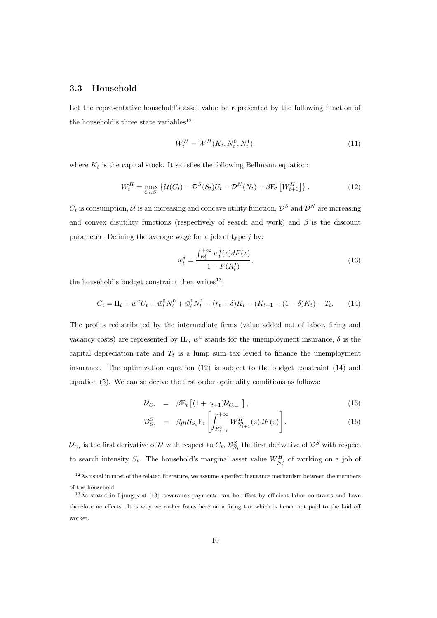#### 3.3 Household

Let the representative household's asset value be represented by the following function of the household's three state variables<sup>12</sup>:

$$
W_t^H = W^H(K_t, N_t^0, N_t^1),
$$
\n(11)

where  $K_t$  is the capital stock. It satisfies the following Bellmann equation:

$$
W_t^H = \max_{C_t, S_t} \left\{ \mathcal{U}(C_t) - \mathcal{D}^S(S_t) U_t - \mathcal{D}^N(N_t) + \beta E_t \left[ W_{t+1}^H \right] \right\}.
$$
 (12)

 $C_t$  is consumption, U is an increasing and concave utility function,  $\mathcal{D}^S$  and  $\mathcal{D}^N$  are increasing and convex disutility functions (respectively of search and work) and  $\beta$  is the discount parameter. Defining the average wage for a job of type  $j$  by:

$$
\bar{w}_t^j = \frac{\int_{R_t^j}^{+\infty} w_t^j(z) dF(z)}{1 - F(R_t^j)},
$$
\n(13)

the household's budget constraint then writes $^{13}$ :

$$
C_t = \Pi_t + w^u U_t + \bar{w}_t^0 N_t^0 + \bar{w}_t^1 N_t^1 + (r_t + \delta) K_t - (K_{t+1} - (1 - \delta) K_t) - T_t.
$$
 (14)

The profits redistributed by the intermediate firms (value added net of labor, firing and vacancy costs) are represented by  $\Pi_t$ ,  $w^u$  stands for the unemployment insurance,  $\delta$  is the capital depreciation rate and  $T_t$  is a lump sum tax levied to finance the unemployment insurance. The optimization equation (12) is subject to the budget constraint (14) and equation (5). We can so derive the first order optimality conditions as follows:

$$
\mathcal{U}_{C_t} = \beta \mathbf{E}_t \left[ (1 + r_{t+1}) \mathcal{U}_{C_{t+1}} \right],\tag{15}
$$

$$
\mathcal{D}_{S_t}^S = \beta p_t \mathcal{S}_{S_t} \mathcal{E}_t \left[ \int_{R_{t+1}^0}^{+\infty} W_{N_{t+1}^0}^H(z) dF(z) \right]. \tag{16}
$$

 $\mathcal{U}_{C_t}$  is the first derivative of  $\mathcal U$  with respect to  $C_t$ ,  $\mathcal{D}_{S_t}^S$  the first derivative of  $\mathcal D^S$  with respect to search intensity  $S_t$ . The household's marginal asset value  $W_{N_t^j}^H$  of working on a job of

<sup>&</sup>lt;sup>12</sup>As usual in most of the related literature, we assume a perfect insurance mechanism between the members of the household.

<sup>13</sup>As stated in Ljungqvist [13], severance payments can be offset by efficient labor contracts and have therefore no effects. It is why we rather focus here on a firing tax which is hence not paid to the laid off worker.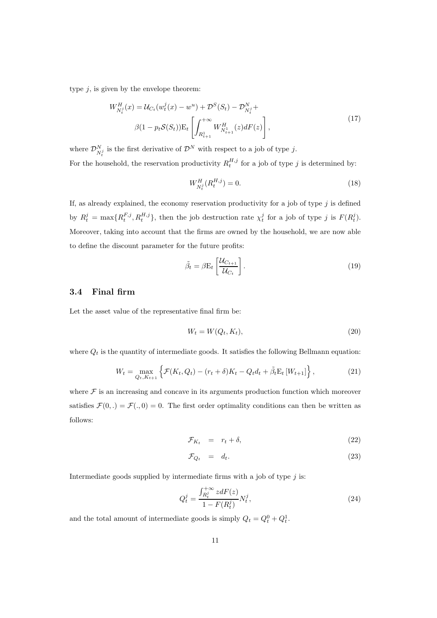type  $j$ , is given by the envelope theorem:

$$
W_{N_t^j}^H(x) = \mathcal{U}_{C_t}(w_t^j(x) - w^u) + \mathcal{D}^S(S_t) - \mathcal{D}_{N_t^j}^N +
$$
  

$$
\beta(1 - p_t \mathcal{S}(S_t)) \mathcal{E}_t \left[ \int_{R_{t+1}^1}^{+\infty} W_{N_{t+1}^1}^H(z) dF(z) \right],
$$
 (17)

where  $\mathcal{D}_{N_t^j}^N$  is the first derivative of  $\mathcal{D}^N$  with respect to a job of type j. t For the household, the reservation productivity  $R_t^{H,j}$  for a job of type j is determined by:

$$
W_{N_t^j}^H(R_t^{H,j}) = 0.
$$
\n(18)

If, as already explained, the economy reservation productivity for a job of type  $j$  is defined by  $R_t^j = \max\{R_t^{F,j}, R_t^{H,j}\},\$  then the job destruction rate  $\chi_t^j$  for a job of type j is  $F(R_t^j)$ . Moreover, taking into account that the firms are owned by the household, we are now able to define the discount parameter for the future profits:

$$
\tilde{\beta}_t = \beta \mathbf{E}_t \left[ \frac{\mathcal{U}_{C_{t+1}}}{\mathcal{U}_{C_t}} \right]. \tag{19}
$$

#### 3.4 Final firm

Let the asset value of the representative final firm be:

$$
W_t = W(Q_t, K_t),\tag{20}
$$

where  $\boldsymbol{Q}_t$  is the quantity of intermediate goods. It satisfies the following Bellmann equation:

$$
W_t = \max_{Q_t, K_{t+1}} \left\{ \mathcal{F}(K_t, Q_t) - (r_t + \delta)K_t - Q_t d_t + \tilde{\beta}_t \mathcal{E}_t \left[ W_{t+1} \right] \right\},\tag{21}
$$

where  $\mathcal F$  is an increasing and concave in its arguments production function which moreover satisfies  $\mathcal{F}(0,.) = \mathcal{F}(.,0) = 0$ . The first order optimality conditions can then be written as follows:

$$
\mathcal{F}_{K_t} = r_t + \delta, \tag{22}
$$

$$
\mathcal{F}_{Q_t} = d_t. \tag{23}
$$

Intermediate goods supplied by intermediate firms with a job of type  $j$  is:

$$
Q_t^j = \frac{\int_{R_t^j}^{+\infty} z dF(z)}{1 - F(R_t^j)} N_t^j,
$$
\n(24)

and the total amount of intermediate goods is simply  $Q_t = Q_t^0 + Q_t^1$ .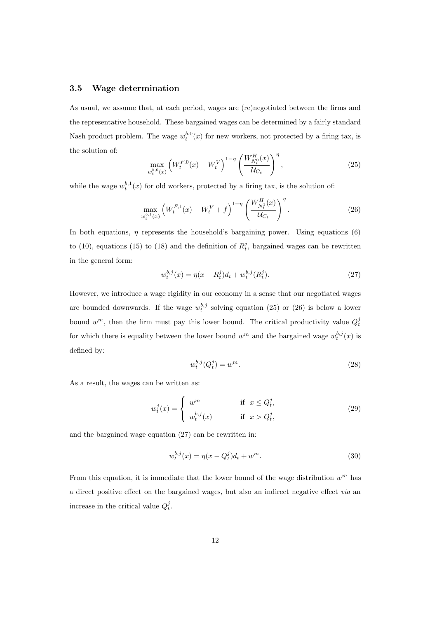#### 3.5 Wage determination

As usual, we assume that, at each period, wages are (re)negotiated between the firms and the representative household. These bargained wages can be determined by a fairly standard Nash product problem. The wage  $w_t^{b,0}(x)$  for new workers, not protected by a firing tax, is the solution of:

$$
\max_{w_t^{b,0}(x)} \left( W_t^{F,0}(x) - W_t^V \right)^{1-\eta} \left( \frac{W_{N_t^0}^H(x)}{\mathcal{U}_{C_t}} \right)^{\eta},\tag{25}
$$

while the wage  $w_t^{b,1}(x)$  for old workers, protected by a firing tax, is the solution of:

$$
\max_{w_t^{b,1}(x)} \left( W_t^{F,1}(x) - W_t^V + f \right)^{1-\eta} \left( \frac{W_{N_t^1}^H(x)}{\mathcal{U}_{C_t}} \right)^{\eta} . \tag{26}
$$

In both equations,  $\eta$  represents the household's bargaining power. Using equations (6) to (10), equations (15) to (18) and the definition of  $R_t^j$ , bargained wages can be rewritten in the general form:

$$
w_t^{b,j}(x) = \eta(x - R_t^j)dt + w_t^{b,j}(R_t^j).
$$
\n(27)

However, we introduce a wage rigidity in our economy in a sense that our negotiated wages are bounded downwards. If the wage  $w_t^{b,j}$  solving equation (25) or (26) is below a lower bound  $w^m$ , then the firm must pay this lower bound. The critical productivity value  $Q_t^j$ for which there is equality between the lower bound  $w^m$  and the bargained wage  $w_t^{b,j}(x)$  is defined by:

$$
w_t^{b,j}(Q_t^j) = w^m.
$$
\n(28)

As a result, the wages can be written as:

$$
w_t^j(x) = \begin{cases} w^m & \text{if } x \le Q_t^j, \\ w_t^{b,j}(x) & \text{if } x > Q_t^j, \end{cases}
$$
 (29)

and the bargained wage equation (27) can be rewritten in:

$$
w_t^{b,j}(x) = \eta(x - Q_t^j)d_t + w^m.
$$
\n(30)

From this equation, it is immediate that the lower bound of the wage distribution  $w^m$  has a direct positive effect on the bargained wages, but also an indirect negative effect via an increase in the critical value  $Q_t^j$ .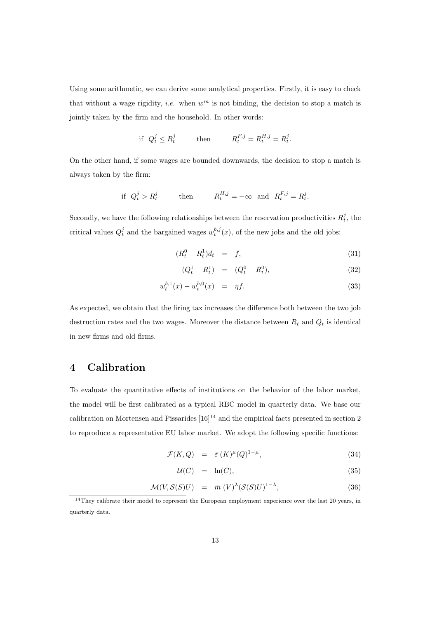Using some arithmetic, we can derive some analytical properties. Firstly, it is easy to check that without a wage rigidity, *i.e.* when  $w^m$  is not binding, the decision to stop a match is jointly taken by the firm and the household. In other words:

$$
\text{if } Q_t^j \le R_t^j \qquad \text{then} \qquad R_t^{F,j} = R_t^{H,j} = R_t^j.
$$

On the other hand, if some wages are bounded downwards, the decision to stop a match is always taken by the firm:

$$
\text{if } Q_t^j > R_t^j \qquad \text{then} \qquad R_t^{H,j} = -\infty \text{ and } R_t^{F,j} = R_t^j.
$$

Secondly, we have the following relationships between the reservation productivities  $R_t^j$ , the critical values  $Q_t^j$  and the bargained wages  $w_t^{b,j}(x)$ , of the new jobs and the old jobs:

$$
(R_t^0 - R_t^1)d_t = f, \t\t(31)
$$

$$
(Q_t^1 - R_t^1) = (Q_t^0 - R_t^0), \tag{32}
$$

$$
w_t^{b,1}(x) - w_t^{b,0}(x) = \eta f. \tag{33}
$$

As expected, we obtain that the firing tax increases the difference both between the two job destruction rates and the two wages. Moreover the distance between  $R_t$  and  $Q_t$  is identical in new firms and old firms.

## 4 Calibration

To evaluate the quantitative effects of institutions on the behavior of the labor market, the model will be first calibrated as a typical RBC model in quarterly data. We base our calibration on Mortensen and Pissarides  $[16]^{14}$  and the empirical facts presented in section 2 to reproduce a representative EU labor market. We adopt the following specific functions:

$$
\mathcal{F}(K,Q) = \bar{\varepsilon}(K)^{\mu}(Q)^{1-\mu}, \tag{34}
$$

$$
\mathcal{U}(C) = \ln(C), \tag{35}
$$

$$
\mathcal{M}(V, \mathcal{S}(S)U) = \bar{m}(V)^{\lambda}(\mathcal{S}(S)U)^{1-\lambda}, \tag{36}
$$

<sup>&</sup>lt;sup>14</sup>They calibrate their model to represent the European employment experience over the last 20 years, in quarterly data.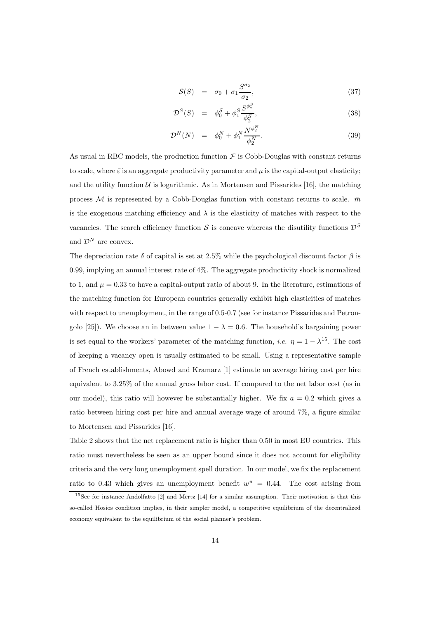$$
S(S) = \sigma_0 + \sigma_1 \frac{S^{\sigma_2}}{\sigma_2}, \qquad (37)
$$

$$
\mathcal{D}^{S}(S) = \phi_0^{S} + \phi_1^{S} \frac{S^{\phi_2^{S}}}{\phi_2^{S}}, \tag{38}
$$

$$
\mathcal{D}^{N}(N) = \phi_0^{N} + \phi_1^{N} \frac{N^{\phi_2^{N}}}{\phi_2^{N}}.
$$
\n(39)

As usual in RBC models, the production function  $\mathcal F$  is Cobb-Douglas with constant returns to scale, where  $\bar{\varepsilon}$  is an aggregate productivity parameter and  $\mu$  is the capital-output elasticity; and the utility function  $U$  is logarithmic. As in Mortensen and Pissarides [16], the matching process M is represented by a Cobb-Douglas function with constant returns to scale.  $\bar{m}$ is the exogenous matching efficiency and  $\lambda$  is the elasticity of matches with respect to the vacancies. The search efficiency function S is concave whereas the disutility functions  $\mathcal{D}^S$ and  $\mathcal{D}^N$  are convex.

The depreciation rate  $\delta$  of capital is set at 2.5% while the psychological discount factor  $\beta$  is 0.99, implying an annual interest rate of 4%. The aggregate productivity shock is normalized to 1, and  $\mu = 0.33$  to have a capital-output ratio of about 9. In the literature, estimations of the matching function for European countries generally exhibit high elasticities of matches with respect to unemployment, in the range of 0.5-0.7 (see for instance Pissarides and Petrongolo [25]). We choose an in between value  $1 - \lambda = 0.6$ . The household's bargaining power is set equal to the workers' parameter of the matching function, *i.e.*  $\eta = 1 - \lambda^{15}$ . The cost of keeping a vacancy open is usually estimated to be small. Using a representative sample of French establishments, Abowd and Kramarz [1] estimate an average hiring cost per hire equivalent to 3.25% of the annual gross labor cost. If compared to the net labor cost (as in our model), this ratio will however be substantially higher. We fix  $a = 0.2$  which gives a ratio between hiring cost per hire and annual average wage of around 7%, a figure similar to Mortensen and Pissarides [16].

Table 2 shows that the net replacement ratio is higher than 0.50 in most EU countries. This ratio must nevertheless be seen as an upper bound since it does not account for eligibility criteria and the very long unemployment spell duration. In our model, we fix the replacement ratio to 0.43 which gives an unemployment benefit  $w^u = 0.44$ . The cost arising from

<sup>15</sup>See for instance Andolfatto [2] and Mertz [14] for a similar assumption. Their motivation is that this so-called Hosios condition implies, in their simpler model, a competitive equilibrium of the decentralized economy equivalent to the equilibrium of the social planner's problem.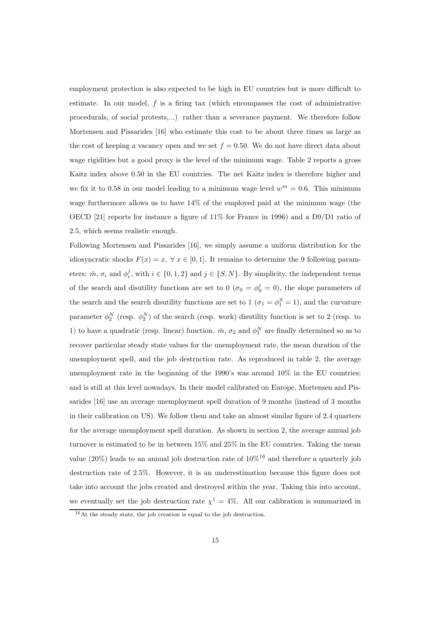employment protection is also expected to be high in EU countries but is more difficult to estimate. In our model,  $f$  is a firing tax (which encompasses the cost of administrative procedurals, of social protests,...) rather than a severance payment. We therefore follow Mortensen and Pissarides [16] who estimate this cost to be about three times as large as the cost of keeping a vacancy open and we set  $f = 0.50$ . We do not have direct data about wage rigidities but a good proxy is the level of the minimum wage. Table 2 reports a gross Kaitz index above 0.50 in the EU countries. The net Kaitz index is therefore higher and we fix it to 0.58 in our model leading to a minimum wage level  $w^m = 0.6$ . This minimum wage furthermore allows us to have 14% of the employed paid at the minimum wage (the OECD [21] reports for instance a figure of 11% for France in 1996) and a D9/D1 ratio of 2.5, which seems realistic enough.

Following Mortensen and Pissarides [16], we simply assume a uniform distribution for the idiosyncratic shocks  $F(x) = x$ ,  $\forall x \in [0, 1]$ . It remains to determine the 9 following parameters:  $\bar{m}$ ,  $\sigma_i$  and  $\phi_i^j$ , with  $i \in \{0, 1, 2\}$  and  $j \in \{S, N\}$ . By simplicity, the independent terms of the search and disutility functions are set to  $0\ (\sigma_0 = \phi_0^j = 0)$ , the slope parameters of the search and the search disutility functions are set to 1 ( $\sigma_1 = \phi_1^S = 1$ ), and the curvature parameter  $\phi_2^N$  (resp.  $\phi_2^N$ ) of the search (resp. work) disutility function is set to 2 (resp. to 1) to have a quadratic (resp. linear) function.  $\bar{m}$ ,  $\sigma_2$  and  $\phi_1^N$  are finally determined so as to recover particular steady state values for the unemployment rate, the mean duration of the unemployment spell, and the job destruction rate. As reproduced in table 2, the average unemployment rate in the beginning of the 1990's was around 10% in the EU countries; and is still at this level nowadays. In their model calibrated on Europe, Mortensen and Pissarides [16] use an average unemployment spell duration of 9 months (instead of 3 months in their calibration on US). We follow them and take an almost similar figure of 2.4 quarters for the average unemployment spell duration. As shown in section 2, the average annual job turnover is estimated to be in between 15% and 25% in the EU countries. Taking the mean value (20%) leads to an annual job destruction rate of  $10\%^{16}$  and therefore a quarterly job destruction rate of 2.5%. However, it is an underestimation because this figure does not take into account the jobs created and destroyed within the year. Taking this into account, we eventually set the job destruction rate  $\chi^1 = 4\%$ . All our calibration is summarized in

<sup>&</sup>lt;sup>16</sup>At the steady state, the job creation is equal to the job destruction.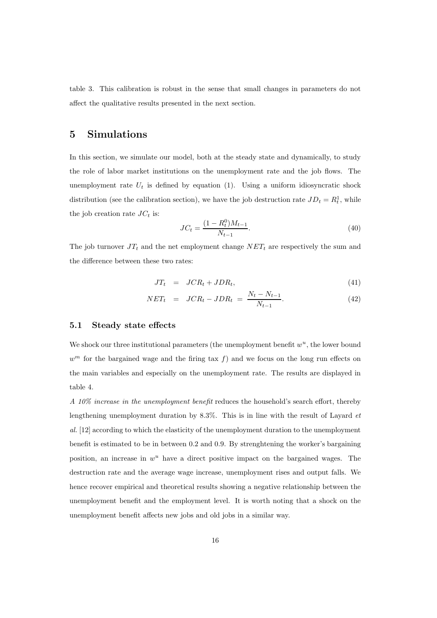table 3. This calibration is robust in the sense that small changes in parameters do not affect the qualitative results presented in the next section.

## 5 Simulations

In this section, we simulate our model, both at the steady state and dynamically, to study the role of labor market institutions on the unemployment rate and the job flows. The unemployment rate  $U_t$  is defined by equation (1). Using a uniform idiosyncratic shock distribution (see the calibration section), we have the job destruction rate  $JD_t = R_t^1$ , while the job creation rate  $JC_t$  is:

$$
JC_t = \frac{(1 - R_t^0)M_{t-1}}{N_{t-1}}.\t(40)
$$

The job turnover  $JT_t$  and the net employment change  $NET_t$  are respectively the sum and the difference between these two rates:

$$
JT_t = JCR_t + JDR_t, \qquad (41)
$$

$$
NET_t = JCR_t - JDR_t = \frac{N_t - N_{t-1}}{N_{t-1}}.
$$
\n(42)

#### 5.1 Steady state effects

We shock our three institutional parameters (the unemployment benefit  $w<sup>u</sup>$ , the lower bound  $w^m$  for the bargained wage and the firing tax f) and we focus on the long run effects on the main variables and especially on the unemployment rate. The results are displayed in table 4.

A 10% increase in the unemployment benefit reduces the household's search effort, thereby lengthening unemployment duration by  $8.3\%$ . This is in line with the result of Layard *et* al. [12] according to which the elasticity of the unemployment duration to the unemployment benefit is estimated to be in between 0.2 and 0.9. By strenghtening the worker's bargaining position, an increase in  $w^u$  have a direct positive impact on the bargained wages. The destruction rate and the average wage increase, unemployment rises and output falls. We hence recover empirical and theoretical results showing a negative relationship between the unemployment benefit and the employment level. It is worth noting that a shock on the unemployment benefit affects new jobs and old jobs in a similar way.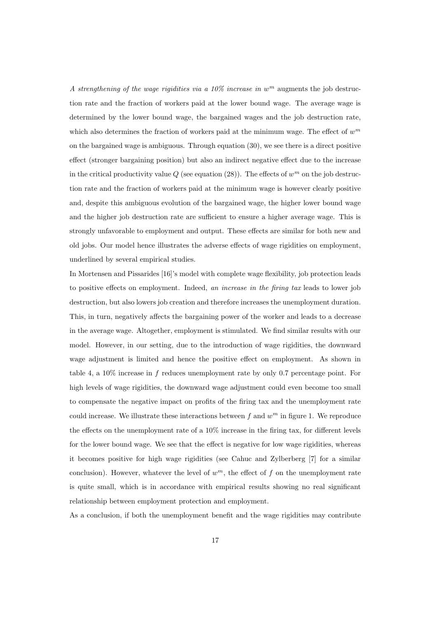A strengthening of the wage rigidities via a 10% increase in  $w<sup>m</sup>$  augments the job destruction rate and the fraction of workers paid at the lower bound wage. The average wage is determined by the lower bound wage, the bargained wages and the job destruction rate, which also determines the fraction of workers paid at the minimum wage. The effect of  $w^m$ on the bargained wage is ambiguous. Through equation (30), we see there is a direct positive effect (stronger bargaining position) but also an indirect negative effect due to the increase in the critical productivity value  $Q$  (see equation (28)). The effects of  $w^m$  on the job destruction rate and the fraction of workers paid at the minimum wage is however clearly positive and, despite this ambiguous evolution of the bargained wage, the higher lower bound wage and the higher job destruction rate are sufficient to ensure a higher average wage. This is strongly unfavorable to employment and output. These effects are similar for both new and old jobs. Our model hence illustrates the adverse effects of wage rigidities on employment, underlined by several empirical studies.

In Mortensen and Pissarides [16]'s model with complete wage flexibility, job protection leads to positive effects on employment. Indeed, an increase in the firing tax leads to lower job destruction, but also lowers job creation and therefore increases the unemployment duration. This, in turn, negatively affects the bargaining power of the worker and leads to a decrease in the average wage. Altogether, employment is stimulated. We find similar results with our model. However, in our setting, due to the introduction of wage rigidities, the downward wage adjustment is limited and hence the positive effect on employment. As shown in table 4, a 10% increase in f reduces unemployment rate by only 0.7 percentage point. For high levels of wage rigidities, the downward wage adjustment could even become too small to compensate the negative impact on profits of the firing tax and the unemployment rate could increase. We illustrate these interactions between  $f$  and  $w<sup>m</sup>$  in figure 1. We reproduce the effects on the unemployment rate of a  $10\%$  increase in the firing tax, for different levels for the lower bound wage. We see that the effect is negative for low wage rigidities, whereas it becomes positive for high wage rigidities (see Cahuc and Zylberberg [7] for a similar conclusion). However, whatever the level of  $w^m$ , the effect of f on the unemployment rate is quite small, which is in accordance with empirical results showing no real significant relationship between employment protection and employment.

As a conclusion, if both the unemployment benefit and the wage rigidities may contribute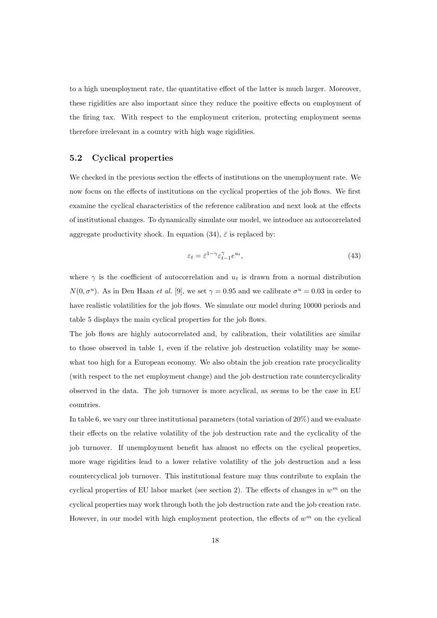to a high unemployment rate, the quantitative effect of the latter is much larger. Moreover, these rigidities are also important since they reduce the positive effects on employment of the firing tax. With respect to the employment criterion, protecting employment seems therefore irrelevant in a country with high wage rigidities.

#### 5.2 Cyclical properties

We checked in the previous section the effects of institutions on the unemployment rate. We now focus on the effects of institutions on the cyclical properties of the job flows. We first examine the cyclical characteristics of the reference calibration and next look at the effects of institutional changes. To dynamically simulate our model, we introduce an autocorrelated aggregate productivity shock. In equation (34),  $\bar{\varepsilon}$  is replaced by:

$$
\varepsilon_t = \bar{\varepsilon}^{1-\gamma} \varepsilon_{t-1}^{\gamma} e^{u_t},\tag{43}
$$

where  $\gamma$  is the coefficient of autocorrelation and  $u_t$  is drawn from a normal distribution  $N(0, \sigma^u)$ . As in Den Haan *et al.* [9], we set  $\gamma = 0.95$  and we calibrate  $\sigma^u = 0.03$  in order to have realistic volatilities for the job flows. We simulate our model during 10000 periods and table 5 displays the main cyclical properties for the job flows.

The job flows are highly autocorrelated and, by calibration, their volatilities are similar to those observed in table 1, even if the relative job destruction volatility may be somewhat too high for a European economy. We also obtain the job creation rate procyclicality (with respect to the net employment change) and the job destruction rate countercyclicality observed in the data. The job turnover is more acyclical, as seems to be the case in EU countries.

In table 6, we vary our three institutional parameters (total variation of 20%) and we evaluate their effects on the relative volatility of the job destruction rate and the cyclicality of the job turnover. If unemployment benefit has almost no effects on the cyclical properties, more wage rigidities lead to a lower relative volatility of the job destruction and a less countercyclical job turnover. This institutional feature may thus contribute to explain the cyclical properties of EU labor market (see section 2). The effects of changes in  $w^m$  on the cyclical properties may work through both the job destruction rate and the job creation rate. However, in our model with high employment protection, the effects of  $w^m$  on the cyclical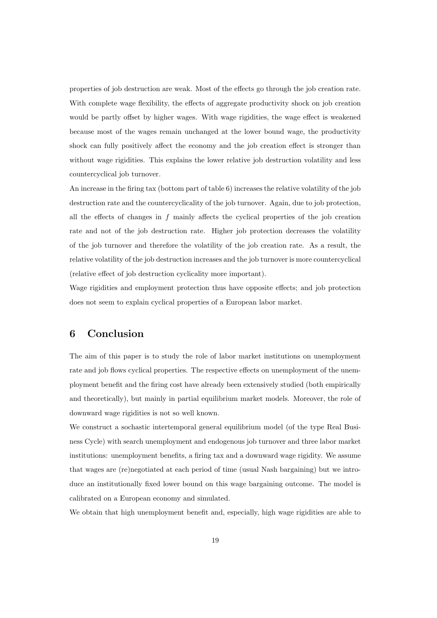properties of job destruction are weak. Most of the effects go through the job creation rate. With complete wage flexibility, the effects of aggregate productivity shock on job creation would be partly offset by higher wages. With wage rigidities, the wage effect is weakened because most of the wages remain unchanged at the lower bound wage, the productivity shock can fully positively affect the economy and the job creation effect is stronger than without wage rigidities. This explains the lower relative job destruction volatility and less countercyclical job turnover.

An increase in the firing tax (bottom part of table 6) increases the relative volatility of the job destruction rate and the countercyclicality of the job turnover. Again, due to job protection, all the effects of changes in  $f$  mainly affects the cyclical properties of the job creation rate and not of the job destruction rate. Higher job protection decreases the volatility of the job turnover and therefore the volatility of the job creation rate. As a result, the relative volatility of the job destruction increases and the job turnover is more countercyclical (relative effect of job destruction cyclicality more important).

Wage rigidities and employment protection thus have opposite effects; and job protection does not seem to explain cyclical properties of a European labor market.

## 6 Conclusion

The aim of this paper is to study the role of labor market institutions on unemployment rate and job flows cyclical properties. The respective effects on unemployment of the unemployment benefit and the firing cost have already been extensively studied (both empirically and theoretically), but mainly in partial equilibrium market models. Moreover, the role of downward wage rigidities is not so well known.

We construct a sochastic intertemporal general equilibrium model (of the type Real Business Cycle) with search unemployment and endogenous job turnover and three labor market institutions: unemployment benefits, a firing tax and a downward wage rigidity. We assume that wages are (re)negotiated at each period of time (usual Nash bargaining) but we introduce an institutionally fixed lower bound on this wage bargaining outcome. The model is calibrated on a European economy and simulated.

We obtain that high unemployment benefit and, especially, high wage rigidities are able to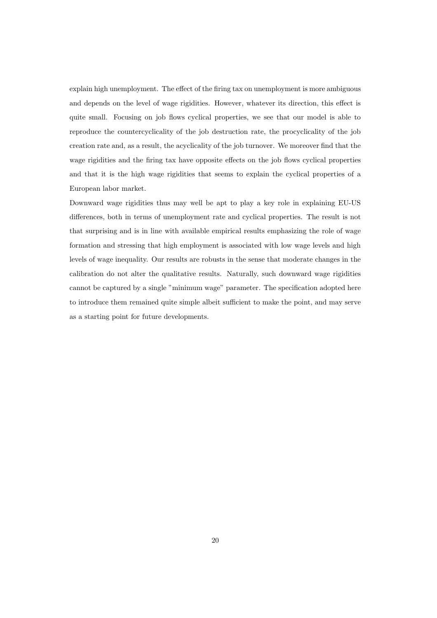explain high unemployment. The effect of the firing tax on unemployment is more ambiguous and depends on the level of wage rigidities. However, whatever its direction, this effect is quite small. Focusing on job flows cyclical properties, we see that our model is able to reproduce the countercyclicality of the job destruction rate, the procyclicality of the job creation rate and, as a result, the acyclicality of the job turnover. We moreover find that the wage rigidities and the firing tax have opposite effects on the job flows cyclical properties and that it is the high wage rigidities that seems to explain the cyclical properties of a European labor market.

Downward wage rigidities thus may well be apt to play a key role in explaining EU-US differences, both in terms of unemployment rate and cyclical properties. The result is not that surprising and is in line with available empirical results emphasizing the role of wage formation and stressing that high employment is associated with low wage levels and high levels of wage inequality. Our results are robusts in the sense that moderate changes in the calibration do not alter the qualitative results. Naturally, such downward wage rigidities cannot be captured by a single "minimum wage" parameter. The specification adopted here to introduce them remained quite simple albeit sufficient to make the point, and may serve as a starting point for future developments.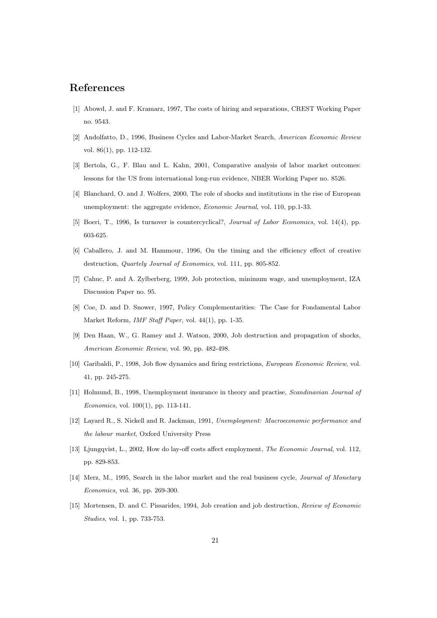## References

- [1] Abowd, J. and F. Kramarz, 1997, The costs of hiring and separations, CREST Working Paper no. 9543.
- [2] Andolfatto, D., 1996, Business Cycles and Labor-Market Search, American Economic Review vol. 86(1), pp. 112-132.
- [3] Bertola, G., F. Blau and L. Kahn, 2001, Comparative analysis of labor market outcomes: lessons for the US from international long-run evidence, NBER Working Paper no. 8526.
- [4] Blanchard, O. and J. Wolfers, 2000, The role of shocks and institutions in the rise of European unemployment: the aggregate evidence, Economic Journal, vol. 110, pp.1-33.
- [5] Boeri, T., 1996, Is turnover is countercyclical?, Journal of Labor Economics, vol. 14(4), pp. 603-625.
- [6] Caballero, J. and M. Hammour, 1996, On the timing and the efficiency effect of creative destruction, *Quartely Journal of Economics*, vol. 111, pp. 805-852.
- [7] Cahuc, P. and A. Zylberberg, 1999, Job protection, minimum wage, and unemployment, IZA Discussion Paper no. 95.
- [8] Coe, D. and D. Snower, 1997, Policy Complementarities: The Case for Fondamental Labor Market Reform, IMF Staff Paper, vol. 44(1), pp. 1-35.
- [9] Den Haan, W., G. Ramey and J. Watson, 2000, Job destruction and propagation of shocks, American Economic Review, vol. 90, pp. 482-498.
- [10] Garibaldi, P., 1998, Job flow dynamics and firing restrictions, *European Economic Review*, vol. 41, pp. 245-275.
- [11] Holmund, B., 1998, Unemployment insurance in theory and practise, *Scandinavian Journal of* Economics, vol. 100(1), pp. 113-141.
- [12] Layard R., S. Nickell and R. Jackman, 1991, Unemployment: Macroeconomic performance and the labour market, Oxford University Press
- [13] Ljungqvist, L., 2002, How do lay-off costs affect employment, The Economic Journal, vol. 112, pp. 829-853.
- [14] Merz, M., 1995, Search in the labor market and the real business cycle, *Journal of Monetary* Economics, vol. 36, pp. 269-300.
- [15] Mortensen, D. and C. Pissarides, 1994, Job creation and job destruction, Review of Economic Studies, vol. 1, pp. 733-753.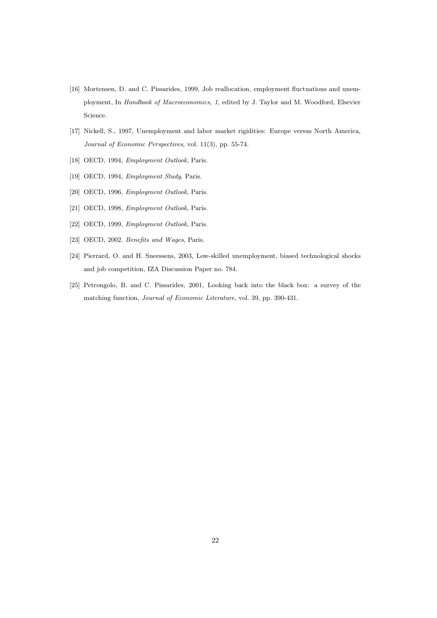- [16] Mortensen, D. and C. Pissarides, 1999, Job reallocation, employment fluctuations and unemployment, In Handbook of Macroeconomics, 1, edited by J. Taylor and M. Woodford, Elsevier Science.
- [17] Nickell, S., 1997, Unemployment and labor market rigidities: Europe versus North America, Journal of Economic Perspectives, vol. 11(3), pp. 55-74.
- [18] OECD, 1994, *Employment Outlook*, Paris.
- [19] OECD, 1994, Employment Study, Paris.
- [20] OECD, 1996, Employment Outlook, Paris.
- [21] OECD, 1998, Employment Outlook, Paris.
- [22] OECD, 1999, Employment Outlook, Paris.
- [23] OECD, 2002. Benefits and Wages, Paris.
- [24] Pierrard, O. and H. Sneessens, 2003, Low-skilled unemployment, biased technological shocks and job competition, IZA Discussion Paper no. 784.
- [25] Petrongolo, B. and C. Pissarides, 2001, Looking back into the black box: a survey of the matching function, Journal of Economic Literature, vol. 39, pp. 390-431.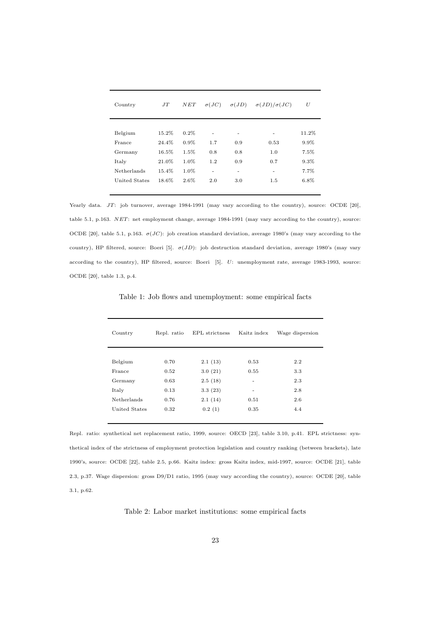| Country       | JT    | NET     | $\sigma(JC)$ | $\sigma(JD)$ | $\sigma(JD)/\sigma(JC)$ | U       |
|---------------|-------|---------|--------------|--------------|-------------------------|---------|
|               |       |         |              |              |                         |         |
| Belgium       | 15.2% | $0.2\%$ |              | ۰            | ۰                       | 11.2%   |
| France        | 24.4% | $0.9\%$ | 1.7          | 0.9          | 0.53                    | 9.9%    |
| Germany       | 16.5% | 1.5%    | 0.8          | 0.8          | 1.0                     | 7.5%    |
| Italy         | 21.0% | 1.0%    | 1.2          | 0.9          | 0.7                     | $9.3\%$ |
| Netherlands   | 15.4% | 1.0%    | ٠            | ٠            | ٠                       | 7.7%    |
| United States | 18.6% | 2.6%    | 2.0          | 3.0          | 1.5                     | 6.8%    |

Yearly data. JT: job turnover, average 1984-1991 (may vary according to the country), source: OCDE [20], table 5.1, p.163. NET: net employment change, average 1984-1991 (may vary according to the country), source: OCDE [20], table 5.1, p.163.  $\sigma(JC)$ : job creation standard deviation, average 1980's (may vary according to the country), HP filtered, source: Boeri [5].  $\sigma(JD)$ : job destruction standard deviation, average 1980's (may vary according to the country), HP filtered, source: Boeri [5]. U: unemployment rate, average 1983-1993, source: OCDE [20], table 1.3, p.4.

| Country       | Repl. ratio | EPL strictness | Kaitz index | Wage dispersion |
|---------------|-------------|----------------|-------------|-----------------|
|               |             |                |             |                 |
| Belgium       | 0.70        | 2.1(13)        | 0.53        | 2.2             |
| France        | 0.52        | 3.0(21)        | 0.55        | 3.3             |
| Germany       | 0.63        | 2.5(18)        | ۰           | 2.3             |
| Italy         | 0.13        | 3.3(23)        | ۰           | 2.8             |
| Netherlands   | 0.76        | 2.1(14)        | 0.51        | 2.6             |
| United States | 0.32        | 0.2(1)         | 0.35        | 4.4             |
|               |             |                |             |                 |

Table 1: Job flows and unemployment: some empirical facts

Repl. ratio: synthetical net replacement ratio, 1999, source: OECD [23], table 3.10, p.41. EPL strictness: synthetical index of the strictness of employment protection legislation and country ranking (between brackets), late 1990's, source: OCDE [22], table 2.5, p.66. Kaitz index: gross Kaitz index, mid-1997, source: OCDE [21], table 2.3, p.37. Wage dispersion: gross D9/D1 ratio, 1995 (may vary according the country), source: OCDE [20], table 3.1, p.62.

Table 2: Labor market institutions: some empirical facts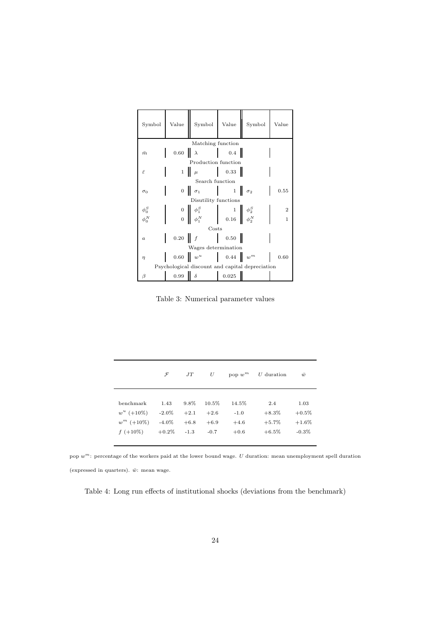| Symbol                                          | Value                   | Symbol                                                                                                                                                  | Value            | Symbol            | Value          |  |  |
|-------------------------------------------------|-------------------------|---------------------------------------------------------------------------------------------------------------------------------------------------------|------------------|-------------------|----------------|--|--|
|                                                 |                         | Matching function                                                                                                                                       |                  |                   |                |  |  |
| $\bar{m}$                                       | $0.60$ $\lambda$        |                                                                                                                                                         | $0.4$            |                   |                |  |  |
|                                                 |                         | Production function                                                                                                                                     |                  |                   |                |  |  |
| έ                                               |                         | $1 \parallel \mu$                                                                                                                                       | 0.33             |                   |                |  |  |
|                                                 |                         | Search function                                                                                                                                         |                  |                   |                |  |  |
| $\sigma_0$                                      |                         | $0 \mid \sigma_1$                                                                                                                                       |                  | $1 \mid \sigma_2$ | 0.55           |  |  |
| Disutility functions                            |                         |                                                                                                                                                         |                  |                   |                |  |  |
|                                                 |                         |                                                                                                                                                         |                  |                   | $\overline{2}$ |  |  |
| $\phi_0^S$ $\phi_0^N$                           |                         | $\begin{array}{c c c} 0 & \phi_1^S \ \hline 0 & \phi_1^N \end{array} \hspace{1cm} \begin{array}{c c} 1 & \phi_2^S \ \hline 0.16 & \phi_2^N \end{array}$ |                  |                   | 1              |  |  |
| Costs                                           |                         |                                                                                                                                                         |                  |                   |                |  |  |
| $\boldsymbol{a}$                                | $0.20$ $f$              |                                                                                                                                                         | 0.50             |                   |                |  |  |
| Wages determination                             |                         |                                                                                                                                                         |                  |                   |                |  |  |
| $\eta$                                          | $0.60$ $w^u$            |                                                                                                                                                         | $0.44 \quad w^m$ |                   | 0.60           |  |  |
| Psychological discount and capital depreciation |                         |                                                                                                                                                         |                  |                   |                |  |  |
| β                                               | 0.99 $\parallel \delta$ | $\mathbb{R}^n$                                                                                                                                          | 0.025            |                   |                |  |  |

Table 3: Numerical parameter values

|                                           | $\mathcal F$                 | JT                       | U                         | pop $w^m$                 | $U$ duration               | $\bar{w}$                   |
|-------------------------------------------|------------------------------|--------------------------|---------------------------|---------------------------|----------------------------|-----------------------------|
| benchmark<br>$w^u$ (+10%)<br>$w^m$ (+10%) | 1.43<br>$-2.0\%$<br>$-4.0\%$ | 9.8%<br>$+2.1$<br>$+6.8$ | 10.5%<br>$+2.6$<br>$+6.9$ | 14.5%<br>$-1.0$<br>$+4.6$ | 2.4<br>$+8.3\%$<br>$+5.7%$ | 1.03<br>$+0.5%$<br>$+1.6\%$ |
| $f (+10\%)$                               | $+0.2\%$                     | $-1.3$                   | $-0.7$                    | $+0.6$                    | $+6.5\%$                   | $-0.3\%$                    |

pop  $w^m$ : percentage of the workers paid at the lower bound wage. U duration: mean unemployment spell duration (expressed in quarters).  $\bar{w}$ : mean wage.

Table 4: Long run effects of institutional shocks (deviations from the benchmark)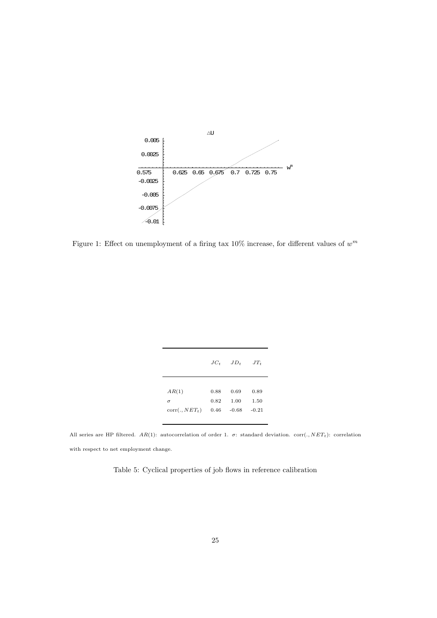

Figure 1: Effect on unemployment of a firing tax  $10\%$  increase, for different values of  $w^m$ 

|                           | $JC_{t}$ | $JD_t$  | $JT_t$  |
|---------------------------|----------|---------|---------|
| AR(1)                     | 0.88     | 0.69    | 0.89    |
| $\sigma$                  | 0.82     | 1.00    | 1.50    |
| corr(.,NET <sub>t</sub> ) | 0.46     | $-0.68$ | $-0.21$ |

All series are HP filtered.  $AR(1)$ : autocorrelation of order 1.  $\sigma$ : standard deviation. corr(.,  $NET_t$ ): correlation with respect to net employment change.

Table 5: Cyclical properties of job flows in reference calibration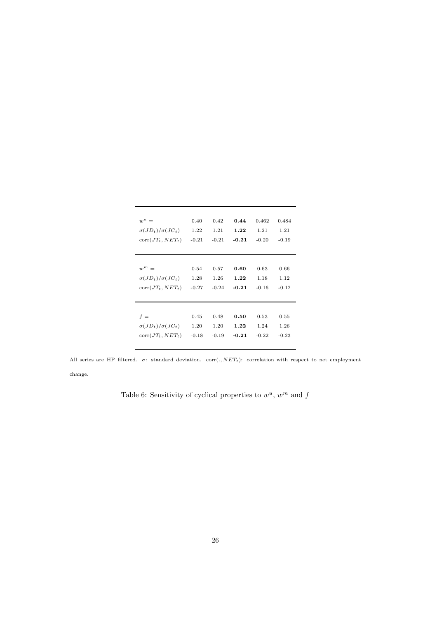| $w^u =$                     | 0.40    | 0.42    | 0.44    | 0.462   | 0.484   |
|-----------------------------|---------|---------|---------|---------|---------|
| $\sigma(JD_t)/\sigma(JC_t)$ | 1.22    | 1.21    | 1.22    | 1.21    | 1.21    |
| $corr(JT_t, NET_t)$         | $-0.21$ | $-0.21$ | $-0.21$ | $-0.20$ | $-0.19$ |
| $w^m =$                     | 0.54    | 0.57    | 0.60    | 0.63    | 0.66    |
| $\sigma(JD_t)/\sigma(JC_t)$ | 1.28    | 1.26    | 1.22    | 1.18    | 1.12    |
| $corr(JT_t, NET_t)$         | $-0.27$ | $-0.24$ | $-0.21$ | $-0.16$ | $-0.12$ |
| $f =$                       | 0.45    | 0.48    | 0.50    | 0.53    | 0.55    |
| $\sigma(JD_t)/\sigma(JC_t)$ | 1.20    | 1.20    | 1.22    | 1.24    | 1.26    |
| $corr(JT_t, NET_t)$         | $-0.18$ | $-0.19$ | $-0.21$ | $-0.22$ | $-0.23$ |

All series are HP filtered.  $\sigma$ : standard deviation. corr(.,  $NET_t$ ): correlation with respect to net employment change.

Table 6: Sensitivity of cyclical properties to  $w^u$ ,  $w^m$  and  $f$